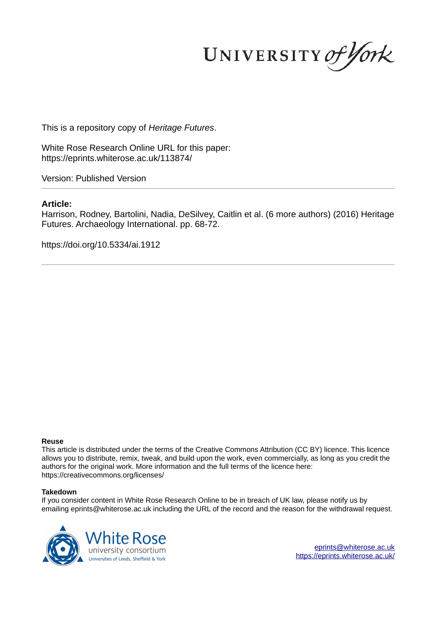UNIVERSITY of York

This is a repository copy of *Heritage Futures*.

White Rose Research Online URL for this paper: https://eprints.whiterose.ac.uk/113874/

Version: Published Version

# **Article:**

Harrison, Rodney, Bartolini, Nadia, DeSilvey, Caitlin et al. (6 more authors) (2016) Heritage Futures. Archaeology International. pp. 68-72.

https://doi.org/10.5334/ai.1912

## **Reuse**

This article is distributed under the terms of the Creative Commons Attribution (CC BY) licence. This licence allows you to distribute, remix, tweak, and build upon the work, even commercially, as long as you credit the authors for the original work. More information and the full terms of the licence here: https://creativecommons.org/licenses/

## **Takedown**

If you consider content in White Rose Research Online to be in breach of UK law, please notify us by emailing eprints@whiterose.ac.uk including the URL of the record and the reason for the withdrawal request.



eprints@whiterose.ac.uk https://eprints.whiterose.ac.uk/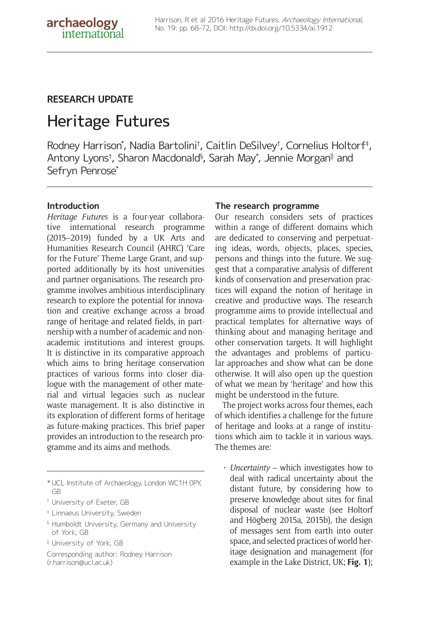# **RESEARCH UPDATE**

# Heritage Futures

Rodney Harrison\* , Nadia Bartolini† , Caitlin DeSilvey† , Cornelius Holtorf‡ , Antony Lyons†, Sharon Macdonald§, Sarah May\*, Jennie Morgan∥ and Sefryn Penrose\*

## **Introduction**

*Heritage Futures* is a four-year collaborative international research programme (2015–2019) funded by a UK Arts and Humanities Research Council (AHRC) 'Care for the Future' Theme Large Grant, and supported additionally by its host universities and partner organisations. The research programme involves ambitious interdisciplinary research to explore the potential for innovation and creative exchange across a broad range of heritage and related fields, in partnership with a number of academic and nonacademic institutions and interest groups. It is distinctive in its comparative approach which aims to bring heritage conservation practices of various forms into closer dialogue with the management of other material and virtual legacies such as nuclear waste management. It is also distinctive in its exploration of different forms of heritage as future-making practices. This brief paper provides an introduction to the research programme and its aims and methods.

- ‡ Linnaeus University, Sweden
- § Humboldt University, Germany and University of York, GB
- <sup>ǁ</sup> University of York, GB

Corresponding author: Rodney Harrison (r.harrison@ucl.ac.uk)

## **The research programme**

Our research considers sets of practices within a range of different domains which are dedicated to conserving and perpetuating ideas, words, objects, places, species, persons and things into the future. We suggest that a comparative analysis of different kinds of conservation and preservation practices will expand the notion of heritage in creative and productive ways. The research programme aims to provide intellectual and practical templates for alternative ways of thinking about and managing heritage and other conservation targets. It will highlight the advantages and problems of particular approaches and show what can be done otherwise. It will also open up the question of what we mean by 'heritage' and how this might be understood in the future.

The project works across four themes, each of which identifies a challenge for the future of heritage and looks at a range of institutions which aim to tackle it in various ways. The themes are:

• *Uncertainty* – which investigates how to deal with radical uncertainty about the distant future, by considering how to preserve knowledge about sites for final disposal of nuclear waste (see Holtorf and Högberg 2015a, 2015b), the design of messages sent from earth into outer space, and selected practices of world heritage designation and management (for example in the Lake District, UK; **Fig. 1**);

<sup>\*</sup> UCL Institute of Archaeology, London WC1H 0PY, GB

<sup>†</sup> University of Exeter, GB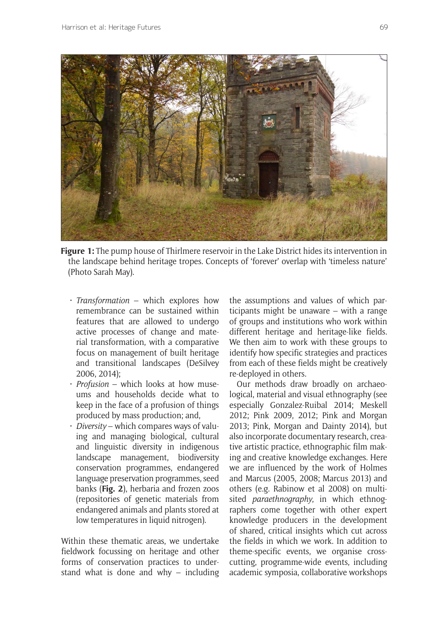

**Figure 1:** The pump house of Thirlmere reservoir in the Lake District hides its intervention in the landscape behind heritage tropes. Concepts of 'forever' overlap with 'timeless nature' (Photo Sarah May).

- *Transformation* which explores how remembrance can be sustained within features that are allowed to undergo active processes of change and material transformation, with a comparative focus on management of built heritage and transitional landscapes (DeSilvey 2006, 2014);
- *Profusion* which looks at how museums and households decide what to keep in the face of a profusion of things produced by mass production; and,
- *Diversity* which compares ways of valuing and managing biological, cultural and linguistic diversity in indigenous landscape management, biodiversity conservation programmes, endangered language preservation programmes, seed banks (**Fig. 2**), herbaria and frozen zoos (repositories of genetic materials from endangered animals and plants stored at low temperatures in liquid nitrogen).

Within these thematic areas, we undertake fieldwork focussing on heritage and other forms of conservation practices to understand what is done and why – including

the assumptions and values of which participants might be unaware – with a range of groups and institutions who work within different heritage and heritage-like fields. We then aim to work with these groups to identify how specific strategies and practices from each of these fields might be creatively re-deployed in others.

Our methods draw broadly on archaeological, material and visual ethnography (see especially Gonzalez-Ruibal 2014; Meskell 2012; Pink 2009, 2012; Pink and Morgan 2013; Pink, Morgan and Dainty 2014), but also incorporate documentary research, creative artistic practice, ethnographic film making and creative knowledge exchanges. Here we are influenced by the work of Holmes and Marcus (2005, 2008; Marcus 2013) and others (e.g. Rabinow et al 2008) on multisited *paraethnography*, in which ethnographers come together with other expert knowledge producers in the development of shared, critical insights which cut across the fields in which we work. In addition to theme-specific events, we organise crosscutting, programme-wide events, including academic symposia, collaborative workshops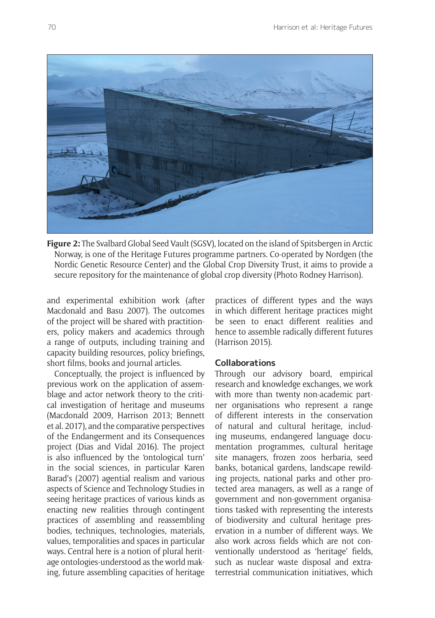

**Figure 2:** The Svalbard Global Seed Vault (SGSV), located on the island of Spitsbergen in Arctic Norway, is one of the Heritage Futures programme partners. Co-operated by Nordgen (the Nordic Genetic Resource Center) and the Global Crop Diversity Trust, it aims to provide a secure repository for the maintenance of global crop diversity (Photo Rodney Harrison).

and experimental exhibition work (after Macdonald and Basu 2007). The outcomes of the project will be shared with practitioners, policy makers and academics through a range of outputs, including training and capacity building resources, policy briefings, short films, books and journal articles.

Conceptually, the project is influenced by previous work on the application of assemblage and actor network theory to the critical investigation of heritage and museums (Macdonald 2009, Harrison 2013; Bennett et al. 2017), and the comparative perspectives of the Endangerment and its Consequences project (Dias and Vidal 2016). The project is also influenced by the 'ontological turn' in the social sciences, in particular Karen Barad's (2007) agential realism and various aspects of Science and Technology Studies in seeing heritage practices of various kinds as enacting new realities through contingent practices of assembling and reassembling bodies, techniques, technologies, materials, values, temporalities and spaces in particular ways. Central here is a notion of plural heritage ontologies-understood as the world making, future assembling capacities of heritage

practices of different types and the ways in which different heritage practices might be seen to enact different realities and hence to assemble radically different futures (Harrison 2015).

#### **Collaborations**

Through our advisory board, empirical research and knowledge exchanges, we work with more than twenty non-academic partner organisations who represent a range of different interests in the conservation of natural and cultural heritage, including museums, endangered language documentation programmes, cultural heritage site managers, frozen zoos herbaria, seed banks, botanical gardens, landscape rewilding projects, national parks and other protected area managers, as well as a range of government and non-government organisations tasked with representing the interests of biodiversity and cultural heritage preservation in a number of different ways. We also work across fields which are not conventionally understood as 'heritage' fields, such as nuclear waste disposal and extraterrestrial communication initiatives, which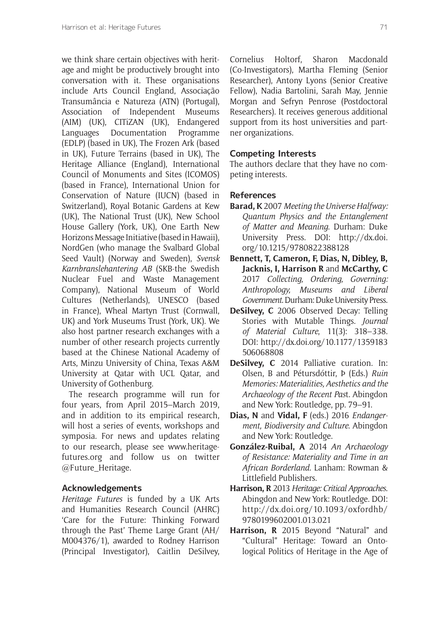we think share certain objectives with heritage and might be productively brought into conversation with it. These organisations include Arts Council England, Associação Transumância e Natureza (ATN) (Portugal), Association of Independent Museums (AIM) (UK), CITiZAN (UK), Endangered Languages Documentation Programme (EDLP) (based in UK), The Frozen Ark (based in UK), Future Terrains (based in UK), The Heritage Alliance (England), International Council of Monuments and Sites (ICOMOS) (based in France), International Union for Conservation of Nature (IUCN) (based in Switzerland), Royal Botanic Gardens at Kew (UK), The National Trust (UK), New School House Gallery (York, UK), One Earth New Horizons Message Initiative (based in Hawaii), NordGen (who manage the Svalbard Global Seed Vault) (Norway and Sweden), *Svensk Karnbranslehantering AB* (SKB-the Swedish Nuclear Fuel and Waste Management Company), National Museum of World Cultures (Netherlands), UNESCO (based in France), Wheal Martyn Trust (Cornwall, UK) and York Museums Trust (York, UK). We also host partner research exchanges with a number of other research projects currently based at the Chinese National Academy of Arts, Minzu University of China, Texas A&M University at Qatar with UCL Qatar, and University of Gothenburg.

The research programme will run for four years, from April 2015–March 2019, and in addition to its empirical research, will host a series of events, workshops and symposia. For news and updates relating to our research, please see www.heritagefutures.org and follow us on twitter @Future\_Heritage.

#### **Acknowledgements**

*Heritage Futures* is funded by a UK Arts and Humanities Research Council (AHRC) 'Care for the Future: Thinking Forward through the Past' Theme Large Grant (AH/ M004376/1), awarded to Rodney Harrison (Principal Investigator), Caitlin DeSilvey, Cornelius Holtorf, Sharon Macdonald (Co-Investigators), Martha Fleming (Senior Researcher), Antony Lyons (Senior Creative Fellow), Nadia Bartolini, Sarah May, Jennie Morgan and Sefryn Penrose (Postdoctoral Researchers). It receives generous additional support from its host universities and partner organizations.

#### **Competing Interests**

The authors declare that they have no competing interests.

#### **References**

- **Barad, K** 2007 *Meeting the Universe Halfway: Quantum Physics and the Entanglement of Matter and Meaning*. Durham: Duke University Press. DOI: http://dx.doi. org/10.1215/9780822388128
- **Bennett, T, Cameron, F, Dias, N, Dibley, B, Jacknis, I, Harrison R** and **McCarthy, C** 2017 *Collecting, Ordering, Governing: Anthropology, Museums and Liberal Government*. Durham: Duke University Press.
- **DeSilvey, C** 2006 Observed Decay: Telling Stories with Mutable Things. *Journal of Material Culture*, 11(3): 318–338. DOI: http://dx.doi.org/10.1177/1359183 506068808
- **DeSilvey, C** 2014 Palliative curation. In: Olsen, B and Pétursdóttir, Þ (Eds.) *Ruin Memories: Materialities, Aesthetics and the Archaeology of the Recent Pas*t. Abingdon and New York: Routledge, pp. 79–91.
- **Dias, N** and **Vidal, F** (eds.) 2016 *Endangerment, Biodiversity and Culture*. Abingdon and New York: Routledge.
- **González-Ruibal, A** 2014 *An Archaeology of Resistance: Materiality and Time in an African Borderland.* Lanham: Rowman & Littlefield Publishers.
- **Harrison, R** 2013 *Heritage: Critical Approaches*. Abingdon and New York: Routledge. DOI: http://dx.doi.org/10.1093/oxfordhb/ 9780199602001.013.021
- **Harrison, R** 2015 Beyond "Natural" and "Cultural" Heritage: Toward an Ontological Politics of Heritage in the Age of